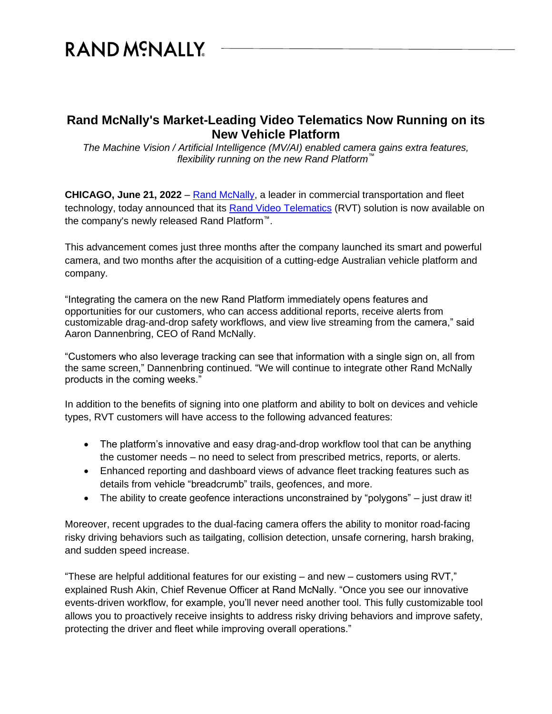# RAND MCNALLY

## **Rand McNally's Market-Leading Video Telematics Now Running on its New Vehicle Platform**

*The Machine Vision / Artificial Intelligence (MV/AI) enabled camera gains extra features, flexibility running on the new Rand Platform™*

**CHICAGO, June 21, 2022** – [Rand McNally,](https://www.randmcnally.com/) a leader in commercial transportation and fleet technology, today announced that its [Rand Video Telematics](https://fleet.randmcnally.com/solutions/safety-video-telematics) (RVT) solution is now available on the company's newly released Rand Platform™.

This advancement comes just three months after the company launched its smart and powerful camera, and two months after the acquisition of a cutting-edge Australian vehicle platform and company.

"Integrating the camera on the new Rand Platform immediately opens features and opportunities for our customers, who can access additional reports, receive alerts from customizable drag-and-drop safety workflows, and view live streaming from the camera," said Aaron Dannenbring, CEO of Rand McNally.

"Customers who also leverage tracking can see that information with a single sign on, all from the same screen," Dannenbring continued. "We will continue to integrate other Rand McNally products in the coming weeks."

In addition to the benefits of signing into one platform and ability to bolt on devices and vehicle types, RVT customers will have access to the following advanced features:

- The platform's innovative and easy drag-and-drop workflow tool that can be anything the customer needs – no need to select from prescribed metrics, reports, or alerts.
- Enhanced reporting and dashboard views of advance fleet tracking features such as details from vehicle "breadcrumb" trails, geofences, and more.
- The ability to create geofence interactions unconstrained by "polygons" just draw it!

Moreover, recent upgrades to the dual-facing camera offers the ability to monitor road-facing risky driving behaviors such as tailgating, collision detection, unsafe cornering, harsh braking, and sudden speed increase.

"These are helpful additional features for our existing – and new – customers using RVT," explained Rush Akin, Chief Revenue Officer at Rand McNally. "Once you see our innovative events-driven workflow, for example, you'll never need another tool. This fully customizable tool allows you to proactively receive insights to address risky driving behaviors and improve safety, protecting the driver and fleet while improving overall operations."